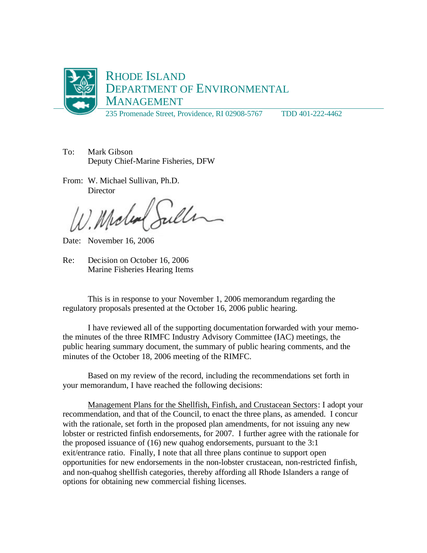

- To: Mark Gibson Deputy Chief-Marine Fisheries, DFW
- From: W. Michael Sullivan, Ph.D. **Director**

Miche

Date: November 16, 2006

Re: Decision on October 16, 2006 Marine Fisheries Hearing Items

This is in response to your November 1, 2006 memorandum regarding the regulatory proposals presented at the October 16, 2006 public hearing.

I have reviewed all of the supporting documentation forwarded with your memothe minutes of the three RIMFC Industry Advisory Committee (IAC) meetings, the public hearing summary document, the summary of public hearing comments, and the minutes of the October 18, 2006 meeting of the RIMFC.

Based on my review of the record, including the recommendations set forth in your memorandum, I have reached the following decisions:

Management Plans for the Shellfish, Finfish, and Crustacean Sectors: I adopt your recommendation, and that of the Council, to enact the three plans, as amended. I concur with the rationale, set forth in the proposed plan amendments, for not issuing any new lobster or restricted finfish endorsements, for 2007. I further agree with the rationale for the proposed issuance of (16) new quahog endorsements, pursuant to the 3:1 exit/entrance ratio. Finally, I note that all three plans continue to support open opportunities for new endorsements in the non-lobster crustacean, non-restricted finfish, and non-quahog shellfish categories, thereby affording all Rhode Islanders a range of options for obtaining new commercial fishing licenses.